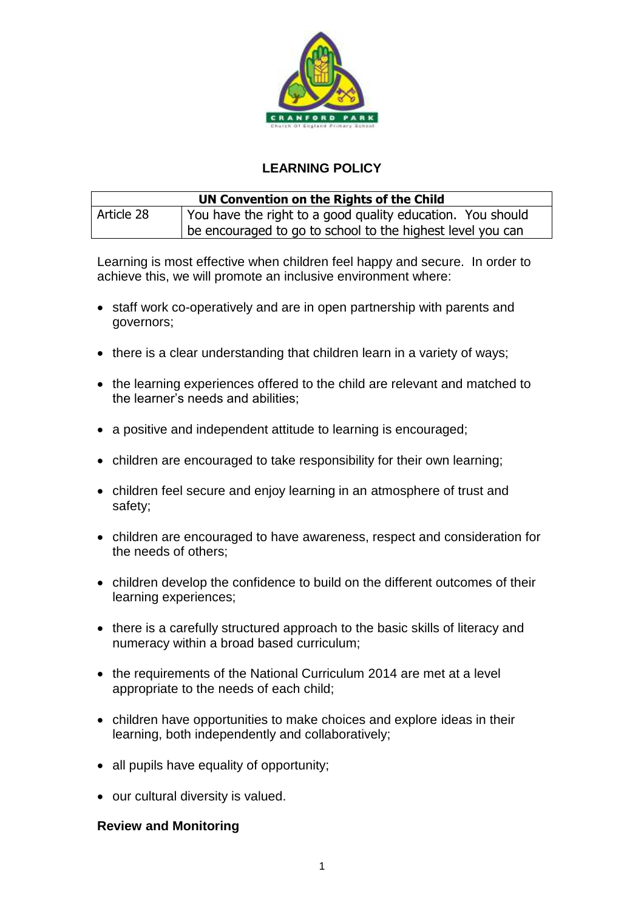

## **LEARNING POLICY**

| UN Convention on the Rights of the Child |                                                            |  |
|------------------------------------------|------------------------------------------------------------|--|
| Article 28                               | You have the right to a good quality education. You should |  |
|                                          | be encouraged to go to school to the highest level you can |  |

Learning is most effective when children feel happy and secure. In order to achieve this, we will promote an inclusive environment where:

- staff work co-operatively and are in open partnership with parents and governors;
- there is a clear understanding that children learn in a variety of ways;
- the learning experiences offered to the child are relevant and matched to the learner's needs and abilities;
- a positive and independent attitude to learning is encouraged;
- children are encouraged to take responsibility for their own learning;
- children feel secure and enjoy learning in an atmosphere of trust and safety;
- children are encouraged to have awareness, respect and consideration for the needs of others;
- children develop the confidence to build on the different outcomes of their learning experiences;
- there is a carefully structured approach to the basic skills of literacy and numeracy within a broad based curriculum;
- the requirements of the National Curriculum 2014 are met at a level appropriate to the needs of each child;
- children have opportunities to make choices and explore ideas in their learning, both independently and collaboratively;
- all pupils have equality of opportunity;
- our cultural diversity is valued.

## **Review and Monitoring**